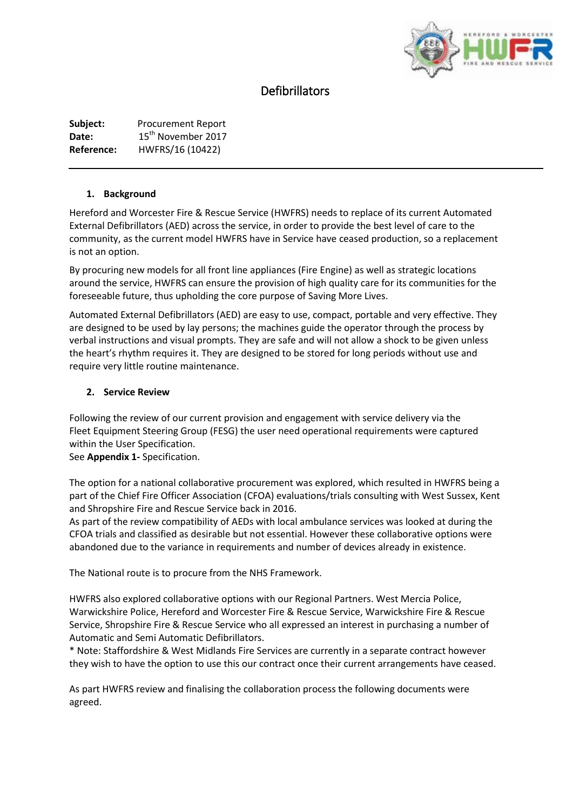

# Defibrillators

**Subject:** Procurement Report Date: 15<sup>th</sup> November 2017 **Reference:** HWFRS/16 (10422)

## **1. Background**

Hereford and Worcester Fire & Rescue Service (HWFRS) needs to replace of its current Automated External Defibrillators (AED) across the service, in order to provide the best level of care to the community, as the current model HWFRS have in Service have ceased production, so a replacement is not an option.

By procuring new models for all front line appliances (Fire Engine) as well as strategic locations around the service, HWFRS can ensure the provision of high quality care for its communities for the foreseeable future, thus upholding the core purpose of Saving More Lives.

Automated External Defibrillators (AED) are easy to use, compact, portable and very effective. They are designed to be used by lay persons; the machines guide the operator through the process by verbal instructions and visual prompts. They are safe and will not allow a shock to be given unless the heart's rhythm requires it. They are designed to be stored for long periods without use and require very little routine maintenance.

## **2. Service Review**

Following the review of our current provision and engagement with service delivery via the Fleet Equipment Steering Group (FESG) the user need operational requirements were captured within the User Specification.

See **Appendix 1-** Specification.

The option for a national collaborative procurement was explored, which resulted in HWFRS being a part of the Chief Fire Officer Association (CFOA) evaluations/trials consulting with West Sussex, Kent and Shropshire Fire and Rescue Service back in 2016.

As part of the review compatibility of AEDs with local ambulance services was looked at during the CFOA trials and classified as desirable but not essential. However these collaborative options were abandoned due to the variance in requirements and number of devices already in existence.

The National route is to procure from the NHS Framework.

HWFRS also explored collaborative options with our Regional Partners. West Mercia Police, Warwickshire Police, Hereford and Worcester Fire & Rescue Service, Warwickshire Fire & Rescue Service, Shropshire Fire & Rescue Service who all expressed an interest in purchasing a number of Automatic and Semi Automatic Defibrillators.

\* Note: Staffordshire & West Midlands Fire Services are currently in a separate contract however they wish to have the option to use this our contract once their current arrangements have ceased.

As part HWFRS review and finalising the collaboration process the following documents were agreed.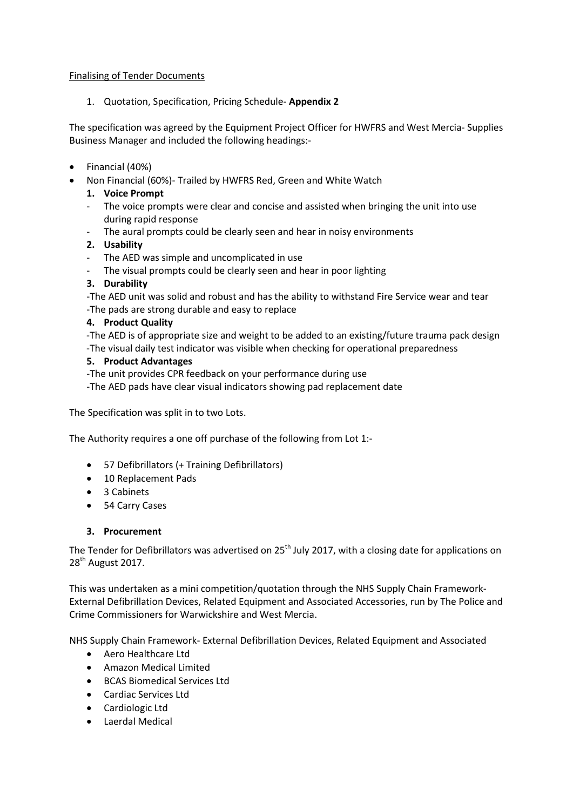## Finalising of Tender Documents

1. Quotation, Specification, Pricing Schedule- **Appendix 2**

The specification was agreed by the Equipment Project Officer for HWFRS and West Mercia- Supplies Business Manager and included the following headings:-

- Financial (40%)
- Non Financial (60%)- Trailed by HWFRS Red, Green and White Watch

## **1. Voice Prompt**

- The voice prompts were clear and concise and assisted when bringing the unit into use during rapid response
- The aural prompts could be clearly seen and hear in noisy environments

## **2. Usability**

- The AED was simple and uncomplicated in use
- The visual prompts could be clearly seen and hear in poor lighting

## **3. Durability**

-The AED unit was solid and robust and has the ability to withstand Fire Service wear and tear -The pads are strong durable and easy to replace

## **4. Product Quality**

-The AED is of appropriate size and weight to be added to an existing/future trauma pack design -The visual daily test indicator was visible when checking for operational preparedness

#### **5. Product Advantages**

-The unit provides CPR feedback on your performance during use

-The AED pads have clear visual indicators showing pad replacement date

The Specification was split in to two Lots.

The Authority requires a one off purchase of the following from Lot 1:-

- 57 Defibrillators (+ Training Defibrillators)
- 10 Replacement Pads
- 3 Cabinets
- 54 Carry Cases

#### **3. Procurement**

The Tender for Defibrillators was advertised on 25<sup>th</sup> July 2017, with a closing date for applications on 28<sup>th</sup> August 2017.

This was undertaken as a mini competition/quotation through the NHS Supply Chain Framework-External Defibrillation Devices, Related Equipment and Associated Accessories, run by The Police and Crime Commissioners for Warwickshire and West Mercia.

NHS Supply Chain Framework- External Defibrillation Devices, Related Equipment and Associated

- Aero Healthcare Ltd
- Amazon Medical Limited
- BCAS Biomedical Services Ltd
- Cardiac Services Ltd
- Cardiologic Ltd
- Laerdal Medical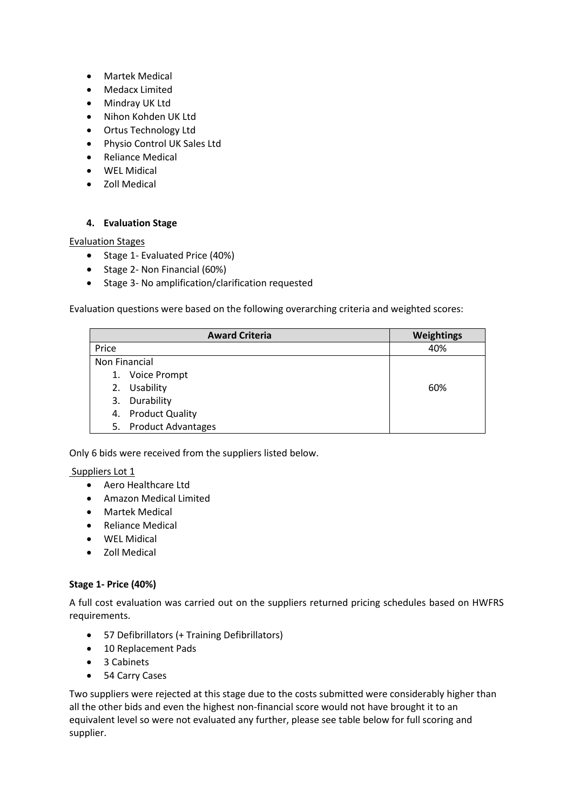- Martek Medical
- Medacx Limited
- Mindray UK Ltd
- Nihon Kohden UK Ltd
- Ortus Technology Ltd
- Physio Control UK Sales Ltd
- Reliance Medical
- WEL Midical
- Zoll Medical

# **4. Evaluation Stage**

## Evaluation Stages

- Stage 1- Evaluated Price (40%)
- Stage 2- Non Financial (60%)
- Stage 3- No amplification/clarification requested

Evaluation questions were based on the following overarching criteria and weighted scores:

|               | <b>Award Criteria</b>     | <b>Weightings</b> |
|---------------|---------------------------|-------------------|
| Price         |                           | 40%               |
| Non Financial |                           |                   |
|               | 1. Voice Prompt           |                   |
| 2.            | Usability                 | 60%               |
| 3.            | Durability                |                   |
|               | 4. Product Quality        |                   |
| 5.            | <b>Product Advantages</b> |                   |

Only 6 bids were received from the suppliers listed below.

# Suppliers Lot 1

- Aero Healthcare Ltd
- Amazon Medical Limited
- Martek Medical
- Reliance Medical
- WEL Midical
- Zoll Medical

# **Stage 1- Price (40%)**

A full cost evaluation was carried out on the suppliers returned pricing schedules based on HWFRS requirements.

- 57 Defibrillators (+ Training Defibrillators)
- 10 Replacement Pads
- 3 Cabinets
- 54 Carry Cases

Two suppliers were rejected at this stage due to the costs submitted were considerably higher than all the other bids and even the highest non-financial score would not have brought it to an equivalent level so were not evaluated any further, please see table below for full scoring and supplier.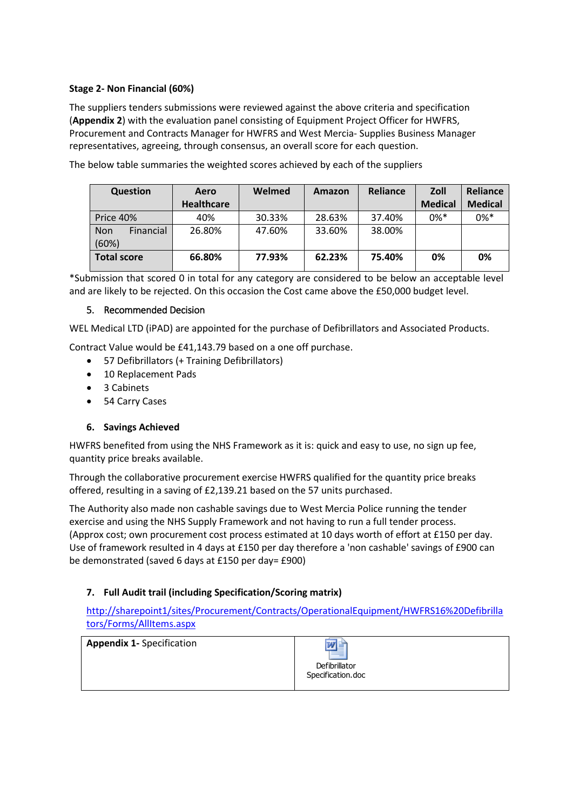## **Stage 2- Non Financial (60%)**

The suppliers tenders submissions were reviewed against the above criteria and specification (**Appendix 2**) with the evaluation panel consisting of Equipment Project Officer for HWFRS, Procurement and Contracts Manager for HWFRS and West Mercia- Supplies Business Manager representatives, agreeing, through consensus, an overall score for each question.

| <b>Question</b>           | Aero<br><b>Healthcare</b> | Welmed | Amazon | <b>Reliance</b> | Zoll<br><b>Medical</b> | Reliance<br><b>Medical</b> |
|---------------------------|---------------------------|--------|--------|-----------------|------------------------|----------------------------|
| Price 40%                 | 40%                       | 30.33% | 28.63% | 37.40%          | $0\%$ <sup>*</sup>     | $0\%*$                     |
| Financial<br>Non<br>(60%) | 26.80%                    | 47.60% | 33.60% | 38.00%          |                        |                            |
| <b>Total score</b>        | 66.80%                    | 77.93% | 62.23% | 75.40%          | 0%                     | 0%                         |

The below table summaries the weighted scores achieved by each of the suppliers

\*Submission that scored 0 in total for any category are considered to be below an acceptable level and are likely to be rejected. On this occasion the Cost came above the £50,000 budget level.

## 5. Recommended Decision

WEL Medical LTD (iPAD) are appointed for the purchase of Defibrillators and Associated Products.

Contract Value would be £41,143.79 based on a one off purchase.

- 57 Defibrillators (+ Training Defibrillators)
- 10 Replacement Pads
- 3 Cabinets
- 54 Carry Cases

#### **6. Savings Achieved**

HWFRS benefited from using the NHS Framework as it is: quick and easy to use, no sign up fee, quantity price breaks available.

Through the collaborative procurement exercise HWFRS qualified for the quantity price breaks offered, resulting in a saving of £2,139.21 based on the 57 units purchased.

The Authority also made non cashable savings due to West Mercia Police running the tender exercise and using the NHS Supply Framework and not having to run a full tender process. (Approx cost; own procurement cost process estimated at 10 days worth of effort at £150 per day. Use of framework resulted in 4 days at £150 per day therefore a 'non cashable' savings of £900 can be demonstrated (saved 6 days at £150 per day= £900)

# **7. Full Audit trail (including Specification/Scoring matrix)**

[http://sharepoint1/sites/Procurement/Contracts/OperationalEquipment/HWFRS16%20Defibrilla](http://sharepoint1/sites/Procurement/Contracts/OperationalEquipment/HWFRS16%20Defibrillators/Forms/AllItems.aspx) [tors/Forms/AllItems.aspx](http://sharepoint1/sites/Procurement/Contracts/OperationalEquipment/HWFRS16%20Defibrillators/Forms/AllItems.aspx)

**Appendix 1-** Specification